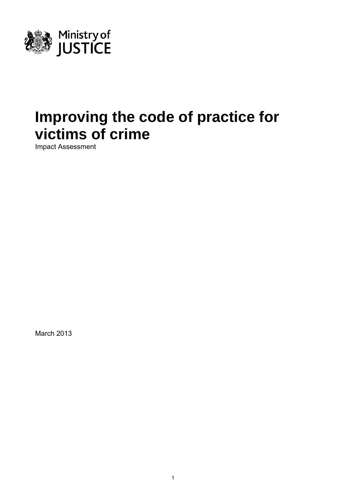

# **Improving the code of practice for victims of crime**

Impact Assessment

March 2013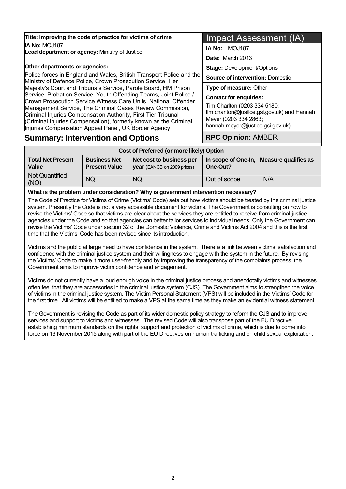| Title: Improving the code of practice for victims of crime                                                                                                                                                                                                                                                                             | Impact Assessment (IA)                                                                                                                                                    |  |  |
|----------------------------------------------------------------------------------------------------------------------------------------------------------------------------------------------------------------------------------------------------------------------------------------------------------------------------------------|---------------------------------------------------------------------------------------------------------------------------------------------------------------------------|--|--|
| <b>IA No: MOJ187</b><br>Lead department or agency: Ministry of Justice                                                                                                                                                                                                                                                                 | <b>MOJ187</b><br>IA No:                                                                                                                                                   |  |  |
|                                                                                                                                                                                                                                                                                                                                        | Date: March 2013                                                                                                                                                          |  |  |
| Other departments or agencies:                                                                                                                                                                                                                                                                                                         | <b>Stage: Development/Options</b>                                                                                                                                         |  |  |
| Police forces in England and Wales, British Transport Police and the<br>Ministry of Defence Police, Crown Prosecution Service, Her                                                                                                                                                                                                     | <b>Source of intervention: Domestic</b>                                                                                                                                   |  |  |
| Majesty's Court and Tribunals Service, Parole Board, HM Prison                                                                                                                                                                                                                                                                         | Type of measure: Other                                                                                                                                                    |  |  |
| Service, Probation Service, Youth Offending Teams, Joint Police /<br>Crown Prosecution Service Witness Care Units, National Offender<br>Management Service, The Criminal Cases Review Commission,<br>Criminal Injuries Compensation Authority, First Tier Tribunal<br>(Criminal Injuries Compensation), formerly known as the Criminal | <b>Contact for enquiries:</b><br>Tim Charlton (0203 334 5180;<br>tim.charlton@justice.gsi.gov.uk) and Hannah<br>Meyer (0203 334 2863;<br>hannah.meyer@justice.gsi.gov.uk) |  |  |
| Injuries Compensation Appeal Panel, UK Border Agency<br><b>Summary: Intervention and Options</b>                                                                                                                                                                                                                                       | <b>RPC Opinion: AMBER</b>                                                                                                                                                 |  |  |

| Cost of Preferred (or more likely) Option |                                             |                                                                |                                 |                      |  |  |  |  |
|-------------------------------------------|---------------------------------------------|----------------------------------------------------------------|---------------------------------|----------------------|--|--|--|--|
| Total Net Present<br>Value                | <b>Business Net</b><br><b>Present Value</b> | Net cost to business per<br><b>year</b> (EANCB on 2009 prices) | In scope of One-In,<br>One-Out? | Measure qualifies as |  |  |  |  |
| Not Quantified<br>(NQ)                    | <b>NQ</b>                                   | <b>NQ</b>                                                      | Out of scope                    | N/A                  |  |  |  |  |

**What is the problem under consideration? Why is government intervention necessary?** 

The Code of Practice for Victims of Crime (Victims' Code) sets out how victims should be treated by the criminal justice system. Presently the Code is not a very accessible document for victims. The Government is consulting on how to revise the Victims' Code so that victims are clear about the services they are entitled to receive from criminal justice agencies under the Code and so that agencies can better tailor services to individual needs. Only the Government can revise the Victims' Code under section 32 of the Domestic Violence, Crime and Victims Act 2004 and this is the first time that the Victims' Code has been revised since its introduction.

Victims and the public at large need to have confidence in the system. There is a link between victims' satisfaction and confidence with the criminal justice system and their willingness to engage with the system in the future. By revising the Victims' Code to make it more user-friendly and by improving the transparency of the complaints process, the Government aims to improve victim confidence and engagement.

Victims do not currently have a loud enough voice in the criminal justice process and anecdotally victims and witnesses often feel that they are accessories in the criminal justice system (CJS). The Government aims to strengthen the voice of victims in the criminal justice system. The Victim Personal Statement (VPS) will be included in the Victims' Code for the first time. All victims will be entitled to make a VPS at the same time as they make an evidential witness statement.

The Government is revising the Code as part of its wider domestic policy strategy to reform the CJS and to improve services and support to victims and witnesses. The revised Code will also transpose part of the EU Directive establishing minimum standards on the rights, support and protection of victims of crime, which is due to come into force on 16 November 2015 along with part of the EU Directives on human trafficking and on child sexual exploitation.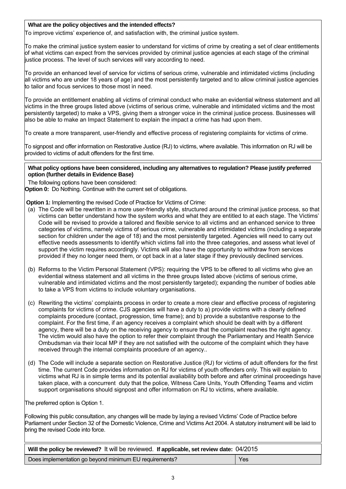#### **What are the policy objectives and the intended effects?**

To improve victims' experience of, and satisfaction with, the criminal justice system.

To make the criminal justice system easier to understand for victims of crime by creating a set of clear entitlements of what victims can expect from the services provided by criminal justice agencies at each stage of the criminal justice process. The level of such services will vary according to need.

To provide an enhanced level of service for victims of serious crime, vulnerable and intimidated victims (including all victims who are under 18 years of age) and the most persistently targeted and to allow criminal justice agencies to tailor and focus services to those most in need.

To provide an entitlement enabling all victims of criminal conduct who make an evidential witness statement and all victims in the three groups listed above (victims of serious crime, vulnerable and intimidated victims and the most persistently targeted) to make a VPS, giving them a stronger voice in the criminal justice process. Businesses will also be able to make an Impact Statement to explain the impact a crime has had upon them.

To create a more transparent, user-friendly and effective process of registering complaints for victims of crime.

To signpost and offer information on Restorative Justice (RJ) to victims, where available. This information on RJ will be provided to victims of adult offenders for the first time.

#### **What policy options have been considered, including any alternatives to regulation? Please justify preferred option (further details in Evidence Base)**

The following options have been considered:

**Option 0:** Do Nothing. Continue with the current set of obligations.

**Option 1:** Implementing the revised Code of Practice for Victims of Crime:

- (a) The Code will be rewritten in a more user-friendly style, structured around the criminal justice process, so that victims can better understand how the system works and what they are entitled to at each stage. The Victims' Code will be revised to provide a tailored and flexible service to all victims and an enhanced service to three categories of victims, namely victims of serious crime, vulnerable and intimidated victims (including a separate section for children under the age of 18) and the most persistently targeted. Agencies will need to carry out effective needs assessments to identify which victims fall into the three categories, and assess what level of support the victim requires accordingly. Victims will also have the opportunity to withdraw from services provided if they no longer need them, or opt back in at a later stage if they previously declined services.
- (b) Reforms to the Victim Personal Statement (VPS): requiring the VPS to be offered to all victims who give an evidential witness statement and all victims in the three groups listed above (victims of serious crime, vulnerable and intimidated victims and the most persistently targeted); expanding the number of bodies able to take a VPS from victims to include voluntary organisations.
- (c) Rewriting the victims' complaints process in order to create a more clear and effective process of registering complaints for victims of crime. CJS agencies will have a duty to a) provide victims with a clearly defined complaints procedure (contact, progression, time frame); and b) provide a substantive response to the complaint. For the first time, if an agency receives a complaint which should be dealt with by a different agency, there will be a duty on the receiving agency to ensure that the complaint reaches the right agency. The victim would also have the option to refer their complaint through the Parliamentary and Health Service Ombudsman via their local MP if they are not satisfied with the outcome of the complaint which they have received through the internal complaints procedure of an agency..
- (d) The Code will include a separate section on Restorative Justice (RJ) for victims of adult offenders for the first time. The current Code provides information on RJ for victims of youth offenders only. This will explain to victims what RJ is in simple terms and its potential avaliability both before and after criminal proceedings have taken place, with a concurrent duty that the police, Witness Care Units, Youth Offending Teams and victim support organisations should signpost and offer information on RJ to victims, where available.

The preferred option is Option 1.

Following this public consultation, any changes will be made by laying a revised Victims' Code of Practice before Parliament under Section 32 of the Domestic Violence, Crime and Victims Act 2004. A statutory instrument will be laid to bring the revised Code into force.

| Will the policy be reviewed? It will be reviewed. If applicable, set review date: 04/2015 |     |  |  |  |  |  |
|-------------------------------------------------------------------------------------------|-----|--|--|--|--|--|
| Does implementation go beyond minimum EU requirements?                                    | Yes |  |  |  |  |  |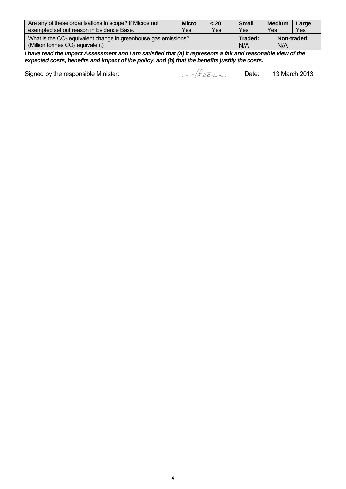| Are any of these organisations in scope? If Micros not                                                | <b>Micro</b> | < 20 | <b>Small</b>   | <b>Medium</b> | Large       |
|-------------------------------------------------------------------------------------------------------|--------------|------|----------------|---------------|-------------|
| exempted set out reason in Evidence Base.                                                             | Yes          | Yes  | Yes            | Yes           | Yes         |
| What is the $CO2$ equivalent change in greenhouse gas emissions?<br>(Million tonnes $CO2$ equivalent) |              |      | Traded:<br>N/A | N/A           | Non-traded: |

*I have read the Impact Assessment and I am satisfied that (a) it represents a fair and reasonable view of the expected costs, benefits and impact of the policy, and (b) that the benefits justify the costs.* 

Signed by the responsible Minister: Date: 13 March 2013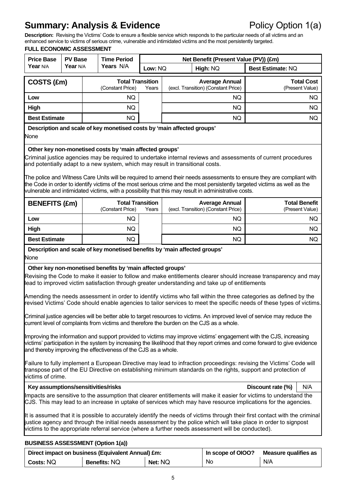### **Summary: Analysis & Evidence Policy Option 1(a)**

**Description:** Revising the Victims' Code to ensure a flexible service which responds to the particular needs of all victims and an enhanced service to victims of serious crime, vulnerable and intimidated victims and the most persistently targeted.

| <b>Price Base</b><br><b>PV Base</b>                                                                                                                                                                                                                                                                                                                                                                                                                                                                                                                                                                                                                                                                                                                                                  |          |  | <b>Time Period</b>                                                                                                                      |       | Net Benefit (Present Value (PV)) (£m) |                                                                                                                                                                                                                                                                                                                                                                                                                                                                  |                          |                                         |  |
|--------------------------------------------------------------------------------------------------------------------------------------------------------------------------------------------------------------------------------------------------------------------------------------------------------------------------------------------------------------------------------------------------------------------------------------------------------------------------------------------------------------------------------------------------------------------------------------------------------------------------------------------------------------------------------------------------------------------------------------------------------------------------------------|----------|--|-----------------------------------------------------------------------------------------------------------------------------------------|-------|---------------------------------------|------------------------------------------------------------------------------------------------------------------------------------------------------------------------------------------------------------------------------------------------------------------------------------------------------------------------------------------------------------------------------------------------------------------------------------------------------------------|--------------------------|-----------------------------------------|--|
| Year N/A                                                                                                                                                                                                                                                                                                                                                                                                                                                                                                                                                                                                                                                                                                                                                                             | Year N/A |  | Years N/A                                                                                                                               |       | Low: NQ<br>High: NQ                   |                                                                                                                                                                                                                                                                                                                                                                                                                                                                  | <b>Best Estimate: NQ</b> |                                         |  |
| COSTS (£m)                                                                                                                                                                                                                                                                                                                                                                                                                                                                                                                                                                                                                                                                                                                                                                           |          |  | <b>Total Transition</b><br>(Constant Price)                                                                                             | Years |                                       | <b>Average Annual</b><br>(excl. Transition) (Constant Price)                                                                                                                                                                                                                                                                                                                                                                                                     |                          | <b>Total Cost</b><br>(Present Value)    |  |
| Low                                                                                                                                                                                                                                                                                                                                                                                                                                                                                                                                                                                                                                                                                                                                                                                  |          |  | NQ.                                                                                                                                     |       | NQ.                                   |                                                                                                                                                                                                                                                                                                                                                                                                                                                                  |                          | NQ.                                     |  |
| <b>High</b>                                                                                                                                                                                                                                                                                                                                                                                                                                                                                                                                                                                                                                                                                                                                                                          |          |  | NQ.                                                                                                                                     |       |                                       | NQ.                                                                                                                                                                                                                                                                                                                                                                                                                                                              |                          | NQ.                                     |  |
| <b>Best Estimate</b>                                                                                                                                                                                                                                                                                                                                                                                                                                                                                                                                                                                                                                                                                                                                                                 |          |  | NQ.                                                                                                                                     |       | NQ.<br>NQ.                            |                                                                                                                                                                                                                                                                                                                                                                                                                                                                  |                          |                                         |  |
| Description and scale of key monetised costs by 'main affected groups'<br>None                                                                                                                                                                                                                                                                                                                                                                                                                                                                                                                                                                                                                                                                                                       |          |  |                                                                                                                                         |       |                                       |                                                                                                                                                                                                                                                                                                                                                                                                                                                                  |                          |                                         |  |
| Other key non-monetised costs by 'main affected groups'<br>Criminal justice agencies may be required to undertake internal reviews and assessments of current procedures<br>and potentially adapt to a new system, which may result in transitional costs.<br>The police and Witness Care Units will be required to amend their needs assessments to ensure they are compliant with<br>the Code in order to identify victims of the most serious crime and the most persistently targeted victims as well as the<br>vulnerable and intimidated victims, with a possibility that this may result in administrative costs.                                                                                                                                                             |          |  |                                                                                                                                         |       |                                       |                                                                                                                                                                                                                                                                                                                                                                                                                                                                  |                          |                                         |  |
| <b>BENEFITS (£m)</b>                                                                                                                                                                                                                                                                                                                                                                                                                                                                                                                                                                                                                                                                                                                                                                 |          |  | <b>Total Transition</b><br>(Constant Price)                                                                                             | Years |                                       | <b>Average Annual</b><br>(excl. Transition) (Constant Price)                                                                                                                                                                                                                                                                                                                                                                                                     |                          | <b>Total Benefit</b><br>(Present Value) |  |
| Low                                                                                                                                                                                                                                                                                                                                                                                                                                                                                                                                                                                                                                                                                                                                                                                  |          |  | NQ                                                                                                                                      |       |                                       | NQ.                                                                                                                                                                                                                                                                                                                                                                                                                                                              |                          | NQ.                                     |  |
| <b>High</b>                                                                                                                                                                                                                                                                                                                                                                                                                                                                                                                                                                                                                                                                                                                                                                          |          |  | NQ                                                                                                                                      |       |                                       | NQ.                                                                                                                                                                                                                                                                                                                                                                                                                                                              |                          | NQ.                                     |  |
| <b>Best Estimate</b>                                                                                                                                                                                                                                                                                                                                                                                                                                                                                                                                                                                                                                                                                                                                                                 |          |  | <b>NQ</b>                                                                                                                               |       |                                       | <b>NQ</b>                                                                                                                                                                                                                                                                                                                                                                                                                                                        |                          | NQ.                                     |  |
| <b>None</b>                                                                                                                                                                                                                                                                                                                                                                                                                                                                                                                                                                                                                                                                                                                                                                          |          |  | Description and scale of key monetised benefits by 'main affected groups'<br>Other key non-monetised benefits by 'main affected groups' |       |                                       |                                                                                                                                                                                                                                                                                                                                                                                                                                                                  |                          |                                         |  |
|                                                                                                                                                                                                                                                                                                                                                                                                                                                                                                                                                                                                                                                                                                                                                                                      |          |  |                                                                                                                                         |       |                                       | Revising the Code to make it easier to follow and make entitlements clearer should increase transparency and may<br>lead to improved victim satisfaction through greater understanding and take up of entitlements<br>Amending the needs assessment in order to identify victims who fall within the three categories as defined by the<br>revised Victims' Code should enable agencies to tailor services to meet the specific needs of these types of victims. |                          |                                         |  |
| Criminal justice agencies will be better able to target resources to victims. An improved level of service may reduce the<br>current level of complaints from victims and therefore the burden on the CJS as a whole.<br>Improving the information and support provided to victims may improve victims' engagement with the CJS, increasing<br>victims' participation in the system by increasing the likelihood that they report crimes and come forward to give evidence<br>and thereby improving the effectiveness of the CJS as a whole.<br>Failure to fully implement a European Directive may lead to infraction proceedings: revising the Victims' Code will<br>transpose part of the EU Directive on establishing minimum standards on the rights, support and protection of |          |  |                                                                                                                                         |       |                                       |                                                                                                                                                                                                                                                                                                                                                                                                                                                                  |                          |                                         |  |
| victims of crime.<br>Key assumptions/sensitivities/risks<br>Discount rate (%)<br>N/A                                                                                                                                                                                                                                                                                                                                                                                                                                                                                                                                                                                                                                                                                                 |          |  |                                                                                                                                         |       |                                       |                                                                                                                                                                                                                                                                                                                                                                                                                                                                  |                          |                                         |  |
|                                                                                                                                                                                                                                                                                                                                                                                                                                                                                                                                                                                                                                                                                                                                                                                      |          |  |                                                                                                                                         |       |                                       | Impacts are sensitive to the assumption that clearer entitlements will make it easier for victims to understand the<br>CJS. This may lead to an increase in uptake of services which may have resource implications for the agencies.                                                                                                                                                                                                                            |                          |                                         |  |
|                                                                                                                                                                                                                                                                                                                                                                                                                                                                                                                                                                                                                                                                                                                                                                                      |          |  |                                                                                                                                         |       |                                       | It is assumed that it is possible to accurately identify the needs of victims through their first contact with the criminal<br>justice agency and through the initial needs assessment by the police which will take place in order to signpost<br>victims to the appropriate referral service (where a further needs assessment will be conducted).                                                                                                             |                          |                                         |  |
| <b>BUSINESS ASSESSMENT (Option 1(a))</b>                                                                                                                                                                                                                                                                                                                                                                                                                                                                                                                                                                                                                                                                                                                                             |          |  |                                                                                                                                         |       |                                       |                                                                                                                                                                                                                                                                                                                                                                                                                                                                  |                          |                                         |  |

|           | Direct impact on business (Equivalent Annual) £m: | In scope of OIOO? | Measure qualifies as |     |
|-----------|---------------------------------------------------|-------------------|----------------------|-----|
| Costs: NQ | <b>Benefits: NQ</b>                               | Net: NQ           | No                   | N/A |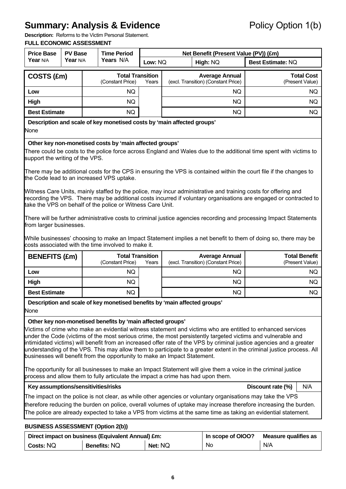## **Summary: Analysis & Evidence** Policy Option 1(b)

**Description:** Reforms to the Victim Personal Statement.

| <b>Price Base</b><br><b>PV Base</b>                                                                                                                                                                                                                                                                                                                                                                                                                                                                                                                                                                                                                                                                                                                                                                                                                                                                                                                                                                                |          | <b>Time Period</b>                                                                                                                                |         | Net Benefit (Present Value (PV)) (£m) |                                                              |                          |                                         |     |
|--------------------------------------------------------------------------------------------------------------------------------------------------------------------------------------------------------------------------------------------------------------------------------------------------------------------------------------------------------------------------------------------------------------------------------------------------------------------------------------------------------------------------------------------------------------------------------------------------------------------------------------------------------------------------------------------------------------------------------------------------------------------------------------------------------------------------------------------------------------------------------------------------------------------------------------------------------------------------------------------------------------------|----------|---------------------------------------------------------------------------------------------------------------------------------------------------|---------|---------------------------------------|--------------------------------------------------------------|--------------------------|-----------------------------------------|-----|
| Year N/A                                                                                                                                                                                                                                                                                                                                                                                                                                                                                                                                                                                                                                                                                                                                                                                                                                                                                                                                                                                                           | Year N/A | Years N/A                                                                                                                                         | Low: NQ | High: NQ                              |                                                              | <b>Best Estimate: NQ</b> |                                         |     |
| COSTS (£m)                                                                                                                                                                                                                                                                                                                                                                                                                                                                                                                                                                                                                                                                                                                                                                                                                                                                                                                                                                                                         |          | <b>Total Transition</b><br>(Constant Price)                                                                                                       | Years   |                                       | <b>Average Annual</b><br>(excl. Transition) (Constant Price) |                          | <b>Total Cost</b><br>(Present Value)    |     |
| Low                                                                                                                                                                                                                                                                                                                                                                                                                                                                                                                                                                                                                                                                                                                                                                                                                                                                                                                                                                                                                |          | NQ.                                                                                                                                               |         |                                       | NQ.                                                          |                          |                                         | NQ. |
| High                                                                                                                                                                                                                                                                                                                                                                                                                                                                                                                                                                                                                                                                                                                                                                                                                                                                                                                                                                                                               |          | NQ.                                                                                                                                               |         |                                       | NQ.                                                          |                          |                                         | NQ. |
| <b>Best Estimate</b>                                                                                                                                                                                                                                                                                                                                                                                                                                                                                                                                                                                                                                                                                                                                                                                                                                                                                                                                                                                               |          | <b>NQ</b>                                                                                                                                         |         |                                       | <b>NQ</b>                                                    |                          |                                         | NQ. |
| None                                                                                                                                                                                                                                                                                                                                                                                                                                                                                                                                                                                                                                                                                                                                                                                                                                                                                                                                                                                                               |          | Description and scale of key monetised costs by 'main affected groups'                                                                            |         |                                       |                                                              |                          |                                         |     |
| Other key non-monetised costs by 'main affected groups'<br>There could be costs to the police force across England and Wales due to the additional time spent with victims to<br>support the writing of the VPS.<br>There may be additional costs for the CPS in ensuring the VPS is contained within the court file if the changes to<br>the Code lead to an increased VPS uptake.<br>Witness Care Units, mainly staffed by the police, may incur administrative and training costs for offering and<br>recording the VPS. There may be additional costs incurred if voluntary organisations are engaged or contracted to<br>take the VPS on behalf of the police or Witness Care Unit.<br>There will be further administrative costs to criminal justice agencies recording and processing Impact Statements<br>from larger businesses.<br>While businesses' choosing to make an Impact Statement implies a net benefit to them of doing so, there may be<br>costs associated with the time involved to make it. |          |                                                                                                                                                   |         |                                       |                                                              |                          |                                         |     |
| <b>BENEFITS (£m)</b>                                                                                                                                                                                                                                                                                                                                                                                                                                                                                                                                                                                                                                                                                                                                                                                                                                                                                                                                                                                               |          | <b>Total Transition</b><br>(Constant Price)                                                                                                       | Years   |                                       | <b>Average Annual</b><br>(excl. Transition) (Constant Price) |                          | <b>Total Benefit</b><br>(Present Value) |     |
| Low                                                                                                                                                                                                                                                                                                                                                                                                                                                                                                                                                                                                                                                                                                                                                                                                                                                                                                                                                                                                                |          | NQ.                                                                                                                                               |         |                                       | NQ.                                                          |                          |                                         | NQ. |
| High                                                                                                                                                                                                                                                                                                                                                                                                                                                                                                                                                                                                                                                                                                                                                                                                                                                                                                                                                                                                               |          | NQ.                                                                                                                                               |         |                                       | <b>NQ</b>                                                    |                          |                                         | NQ. |
| <b>Best Estimate</b>                                                                                                                                                                                                                                                                                                                                                                                                                                                                                                                                                                                                                                                                                                                                                                                                                                                                                                                                                                                               |          | NQ.                                                                                                                                               |         |                                       | <b>NQ</b>                                                    |                          |                                         | NQ. |
|                                                                                                                                                                                                                                                                                                                                                                                                                                                                                                                                                                                                                                                                                                                                                                                                                                                                                                                                                                                                                    |          | Description and scale of key monetised benefits by 'main affected groups'                                                                         |         |                                       |                                                              |                          |                                         |     |
| None                                                                                                                                                                                                                                                                                                                                                                                                                                                                                                                                                                                                                                                                                                                                                                                                                                                                                                                                                                                                               |          |                                                                                                                                                   |         |                                       |                                                              |                          |                                         |     |
| Other key non-monetised benefits by 'main affected groups'<br>Victims of crime who make an evidential witness statement and victims who are entitled to enhanced services<br>under the Code (victims of the most serious crime, the most persistently targeted victims and vulnerable and<br>intimidated victims) will benefit from an increased offer rate of the VPS by criminal justice agencies and a greater<br>understanding of the VPS. This may allow them to participate to a greater extent in the criminal justice process. All<br>businesses will benefit from the opportunity to make an Impact Statement.<br>The opportunity for all businesses to make an Impact Statement will give them a voice in the criminal justice                                                                                                                                                                                                                                                                           |          |                                                                                                                                                   |         |                                       |                                                              |                          |                                         |     |
|                                                                                                                                                                                                                                                                                                                                                                                                                                                                                                                                                                                                                                                                                                                                                                                                                                                                                                                                                                                                                    |          | process and allow them to fully articulate the impact a crime has had upon them.                                                                  |         |                                       |                                                              |                          |                                         |     |
|                                                                                                                                                                                                                                                                                                                                                                                                                                                                                                                                                                                                                                                                                                                                                                                                                                                                                                                                                                                                                    |          | Key assumptions/sensitivities/risks<br>The impact on the police is not clear, as while other agencies or voluntary organisations may take the VPS |         |                                       |                                                              |                          | N/A<br>Discount rate (%)                |     |
|                                                                                                                                                                                                                                                                                                                                                                                                                                                                                                                                                                                                                                                                                                                                                                                                                                                                                                                                                                                                                    |          | therefore reducing the burden on police, overall volumes of uptake may increase therefore increasing the burden.                                  |         |                                       |                                                              |                          |                                         |     |
|                                                                                                                                                                                                                                                                                                                                                                                                                                                                                                                                                                                                                                                                                                                                                                                                                                                                                                                                                                                                                    |          | The police are already expected to take a VPS from victims at the same time as taking an evidential statement.                                    |         |                                       |                                                              |                          |                                         |     |
|                                                                                                                                                                                                                                                                                                                                                                                                                                                                                                                                                                                                                                                                                                                                                                                                                                                                                                                                                                                                                    |          | <b>BUSINESS ASSESSMENT (Option 2(b))</b>                                                                                                          |         |                                       |                                                              |                          |                                         |     |
|                                                                                                                                                                                                                                                                                                                                                                                                                                                                                                                                                                                                                                                                                                                                                                                                                                                                                                                                                                                                                    |          | Direct impact on business (Equivalent Annual) £m:                                                                                                 |         |                                       | In scope of OIOO?                                            |                          | <b>Measure qualifies as</b>             |     |
| Costs: NQ                                                                                                                                                                                                                                                                                                                                                                                                                                                                                                                                                                                                                                                                                                                                                                                                                                                                                                                                                                                                          |          | Benefits: NQ                                                                                                                                      | Net: NQ |                                       | <b>No</b>                                                    |                          | N/A                                     |     |
|                                                                                                                                                                                                                                                                                                                                                                                                                                                                                                                                                                                                                                                                                                                                                                                                                                                                                                                                                                                                                    |          |                                                                                                                                                   |         |                                       |                                                              |                          |                                         |     |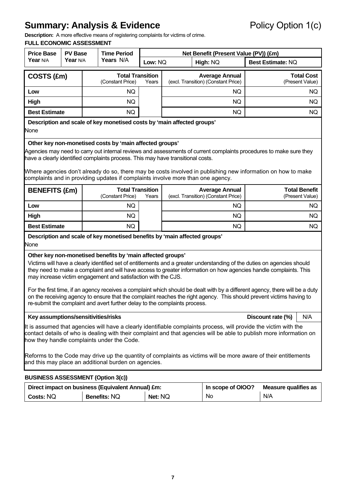## **Summary: Analysis & Evidence** Policy Option 1(c)

**Description:** A more effective means of registering complaints for victims of crime.

| <b>Price Base</b>                                                                                                                                                                                                                                                                                                                                                                                                                                                                                                                                                                                                                                                                                                 | <b>PV Base</b> |  | <b>Time Period</b>                                                        | Net Benefit (Present Value (PV)) (£m) |         |                                                              |  |                             |                                         |
|-------------------------------------------------------------------------------------------------------------------------------------------------------------------------------------------------------------------------------------------------------------------------------------------------------------------------------------------------------------------------------------------------------------------------------------------------------------------------------------------------------------------------------------------------------------------------------------------------------------------------------------------------------------------------------------------------------------------|----------------|--|---------------------------------------------------------------------------|---------------------------------------|---------|--------------------------------------------------------------|--|-----------------------------|-----------------------------------------|
| Year N/A                                                                                                                                                                                                                                                                                                                                                                                                                                                                                                                                                                                                                                                                                                          | Year N/A       |  | Years N/A                                                                 |                                       | Low: NQ | High: NQ                                                     |  | Best Estimate: NQ           |                                         |
| COSTS (£m)                                                                                                                                                                                                                                                                                                                                                                                                                                                                                                                                                                                                                                                                                                        |                |  | <b>Total Transition</b><br>(Constant Price)                               | Years                                 |         | <b>Average Annual</b><br>(excl. Transition) (Constant Price) |  |                             | <b>Total Cost</b><br>(Present Value)    |
| Low                                                                                                                                                                                                                                                                                                                                                                                                                                                                                                                                                                                                                                                                                                               |                |  | NQ.                                                                       |                                       |         | NQ.                                                          |  |                             | NQ.                                     |
| High                                                                                                                                                                                                                                                                                                                                                                                                                                                                                                                                                                                                                                                                                                              |                |  | NQ.                                                                       |                                       | NQ.     |                                                              |  |                             | NQ.                                     |
| <b>Best Estimate</b>                                                                                                                                                                                                                                                                                                                                                                                                                                                                                                                                                                                                                                                                                              |                |  | NQ                                                                        |                                       |         | <b>NQ</b>                                                    |  |                             | NQ.                                     |
| None                                                                                                                                                                                                                                                                                                                                                                                                                                                                                                                                                                                                                                                                                                              |                |  | Description and scale of key monetised costs by 'main affected groups'    |                                       |         |                                                              |  |                             |                                         |
| Other key non-monetised costs by 'main affected groups'<br>Agencies may need to carry out internal reviews and assessments of current complaints procedures to make sure they<br>have a clearly identified complaints process. This may have transitional costs.<br>Where agencies don't already do so, there may be costs involved in publishing new information on how to make<br>complaints and in providing updates if complaints involve more than one agency.                                                                                                                                                                                                                                               |                |  |                                                                           |                                       |         |                                                              |  |                             |                                         |
| <b>BENEFITS (£m)</b>                                                                                                                                                                                                                                                                                                                                                                                                                                                                                                                                                                                                                                                                                              |                |  | <b>Total Transition</b><br>(Constant Price)                               | Years                                 |         | <b>Average Annual</b><br>(excl. Transition) (Constant Price) |  |                             | <b>Total Benefit</b><br>(Present Value) |
| Low                                                                                                                                                                                                                                                                                                                                                                                                                                                                                                                                                                                                                                                                                                               |                |  | NQ.                                                                       |                                       |         | NQ.                                                          |  |                             | NQ.                                     |
| High                                                                                                                                                                                                                                                                                                                                                                                                                                                                                                                                                                                                                                                                                                              |                |  | NQ                                                                        |                                       |         | <b>NQ</b>                                                    |  |                             | NQ.                                     |
| <b>Best Estimate</b>                                                                                                                                                                                                                                                                                                                                                                                                                                                                                                                                                                                                                                                                                              |                |  | <b>NQ</b>                                                                 |                                       |         | <b>NQ</b>                                                    |  |                             | NQ.                                     |
| None                                                                                                                                                                                                                                                                                                                                                                                                                                                                                                                                                                                                                                                                                                              |                |  | Description and scale of key monetised benefits by 'main affected groups' |                                       |         |                                                              |  |                             |                                         |
| Other key non-monetised benefits by 'main affected groups'<br>Victims will have a clearly identified set of entitlements and a greater understanding of the duties on agencies should<br>they need to make a complaint and will have access to greater information on how agencies handle complaints. This<br>may increase victim engagement and satisfaction with the CJS.<br>For the first time, if an agency receives a complaint which should be dealt with by a different agency, there will be a duty<br>on the receiving agency to ensure that the complaint reaches the right agency. This should prevent victims having to<br>re-submit the complaint and avert further delay to the complaints process. |                |  |                                                                           |                                       |         |                                                              |  |                             |                                         |
| Key assumptions/sensitivities/risks                                                                                                                                                                                                                                                                                                                                                                                                                                                                                                                                                                                                                                                                               |                |  |                                                                           |                                       |         |                                                              |  | Discount rate (%)           | N/A                                     |
| It is assumed that agencies will have a clearly identifiable complaints process, will provide the victim with the<br>contact details of who is dealing with their complaint and that agencies will be able to publish more information on<br>how they handle complaints under the Code.<br>Reforms to the Code may drive up the quantity of complaints as victims will be more aware of their entitlements<br>and this may place an additional burden on agencies.                                                                                                                                                                                                                                                |                |  |                                                                           |                                       |         |                                                              |  |                             |                                         |
| <b>BUSINESS ASSESSMENT (Option 3(c))</b>                                                                                                                                                                                                                                                                                                                                                                                                                                                                                                                                                                                                                                                                          |                |  |                                                                           |                                       |         |                                                              |  |                             |                                         |
|                                                                                                                                                                                                                                                                                                                                                                                                                                                                                                                                                                                                                                                                                                                   |                |  | Direct impact on business (Equivalent Annual) £m:                         |                                       |         | In scope of OIOO?                                            |  | <b>Measure qualifies as</b> |                                         |
| Costs: NQ                                                                                                                                                                                                                                                                                                                                                                                                                                                                                                                                                                                                                                                                                                         |                |  | <b>Benefits: NQ</b>                                                       | Net: NQ                               |         | No                                                           |  | N/A                         |                                         |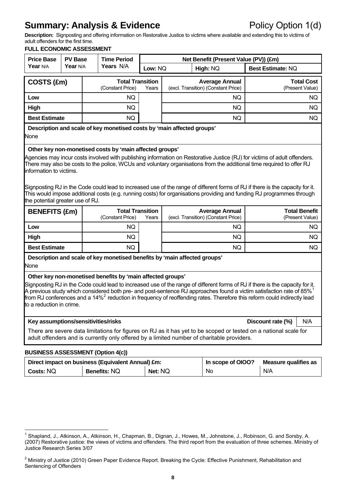### **Summary: Analysis & Evidence** Policy Option 1(d)

**Description:** Signposting and offering information on Restorative Justice to victims where available and extending this to victims of adult offenders for the first time.

| <b>Price Base</b>                                                                                                                                                                                                                                                                                                                                                                                                                                                                                                                                                                                                                                                                                                                                                               | <b>PV Base</b>                               |  | <b>Time Period</b>                                                        |                   |  | Net Benefit (Present Value (PV)) (£m)                        |                      |                                         |
|---------------------------------------------------------------------------------------------------------------------------------------------------------------------------------------------------------------------------------------------------------------------------------------------------------------------------------------------------------------------------------------------------------------------------------------------------------------------------------------------------------------------------------------------------------------------------------------------------------------------------------------------------------------------------------------------------------------------------------------------------------------------------------|----------------------------------------------|--|---------------------------------------------------------------------------|-------------------|--|--------------------------------------------------------------|----------------------|-----------------------------------------|
| Year N/A                                                                                                                                                                                                                                                                                                                                                                                                                                                                                                                                                                                                                                                                                                                                                                        | Years N/A<br>Year N/A<br>Low: NQ<br>High: NQ |  |                                                                           | Best Estimate: NQ |  |                                                              |                      |                                         |
| COSTS (£m)                                                                                                                                                                                                                                                                                                                                                                                                                                                                                                                                                                                                                                                                                                                                                                      |                                              |  | <b>Total Transition</b><br>(Constant Price)                               | Years             |  | <b>Average Annual</b><br>(excl. Transition) (Constant Price) |                      | <b>Total Cost</b><br>(Present Value)    |
| Low                                                                                                                                                                                                                                                                                                                                                                                                                                                                                                                                                                                                                                                                                                                                                                             |                                              |  | NQ.                                                                       |                   |  | NQ.                                                          |                      | NQ.                                     |
| High                                                                                                                                                                                                                                                                                                                                                                                                                                                                                                                                                                                                                                                                                                                                                                            |                                              |  | <b>NQ</b>                                                                 |                   |  | <b>NQ</b>                                                    |                      | NQ.                                     |
| <b>Best Estimate</b>                                                                                                                                                                                                                                                                                                                                                                                                                                                                                                                                                                                                                                                                                                                                                            | <b>NQ</b><br>NQ.                             |  |                                                                           |                   |  |                                                              | NQ.                  |                                         |
| None                                                                                                                                                                                                                                                                                                                                                                                                                                                                                                                                                                                                                                                                                                                                                                            |                                              |  | Description and scale of key monetised costs by 'main affected groups'    |                   |  |                                                              |                      |                                         |
| Agencies may incur costs involved with publishing information on Restorative Justice (RJ) for victims of adult offenders.<br>There may also be costs to the police, WCUs and voluntary organisations from the additional time required to offer RJ<br>information to victims.<br>Signposting RJ in the Code could lead to increased use of the range of different forms of RJ if there is the capacity for it.<br>This would impose additional costs (e.g. running costs) for organisations providing and funding RJ programmes through<br>the potential greater use of RJ.                                                                                                                                                                                                     |                                              |  |                                                                           |                   |  |                                                              |                      |                                         |
| <b>BENEFITS (£m)</b>                                                                                                                                                                                                                                                                                                                                                                                                                                                                                                                                                                                                                                                                                                                                                            |                                              |  | <b>Total Transition</b><br>(Constant Price)                               | Years             |  | <b>Average Annual</b><br>(excl. Transition) (Constant Price) |                      | <b>Total Benefit</b><br>(Present Value) |
| Low                                                                                                                                                                                                                                                                                                                                                                                                                                                                                                                                                                                                                                                                                                                                                                             |                                              |  | NQ.                                                                       |                   |  | NQ.                                                          |                      | NQ.                                     |
| High                                                                                                                                                                                                                                                                                                                                                                                                                                                                                                                                                                                                                                                                                                                                                                            |                                              |  | NQ.                                                                       |                   |  | NQ.                                                          |                      | NQ.                                     |
| <b>Best Estimate</b>                                                                                                                                                                                                                                                                                                                                                                                                                                                                                                                                                                                                                                                                                                                                                            |                                              |  | <b>NQ</b>                                                                 |                   |  | <b>NQ</b>                                                    |                      | NQ.                                     |
| None                                                                                                                                                                                                                                                                                                                                                                                                                                                                                                                                                                                                                                                                                                                                                                            |                                              |  | Description and scale of key monetised benefits by 'main affected groups' |                   |  |                                                              |                      |                                         |
| Other key non-monetised benefits by 'main affected groups'<br>Signposting RJ in the Code could lead to increased use of the range of different forms of RJ if there is the capacity for it.<br>A previous study which considered both pre- and post-sentence RJ approaches found a victim satisfaction rate of 85% $^1$<br>from RJ conferences and a 14% <sup>2</sup> reduction in frequency of reoffending rates. Therefore this reform could indirectly lead<br>to a reduction in crime.<br>Key assumptions/sensitivities/risks<br>Discount rate (%)<br>N/A<br>There are severe data limitations for figures on RJ as it has yet to be scoped or tested on a national scale for<br>adult offenders and is currently only offered by a limited number of charitable providers. |                                              |  |                                                                           |                   |  |                                                              |                      |                                         |
| <b>BUSINESS ASSESSMENT (Option 4(c))</b>                                                                                                                                                                                                                                                                                                                                                                                                                                                                                                                                                                                                                                                                                                                                        |                                              |  |                                                                           |                   |  |                                                              |                      |                                         |
|                                                                                                                                                                                                                                                                                                                                                                                                                                                                                                                                                                                                                                                                                                                                                                                 |                                              |  | Direct impact on business (Faujualent Annual) fm.                         |                   |  | In scope of $01002$                                          | Deasure qualifies as |                                         |

|                  | Direct impact on business (Equivalent Annual) £m: | In scope of OIOO? | Measure qualifies as |     |
|------------------|---------------------------------------------------|-------------------|----------------------|-----|
| <b>Costs: NQ</b> | <b>Benefits: NQ</b>                               | Net: NQ           | <b>No</b>            | N/A |

<span id="page-7-0"></span> 1 Shapland, J., Atkinson, A., Atkinson, H., Chapman, B., Dignan, J., Howes, M., Johnstone, J., Robinson, G. and Sorsby, A. (2007) Restorative justice: the views of victims and offenders. The third report from the evaluation of three schemes. Ministry of Justice Research Series 3/07

<span id="page-7-1"></span> $^2$  Ministry of Justice (2010) Green Paper Evidence Report. Breaking the Cycle: Effective Punishment, Rehabilitation and Sentencing of Offenders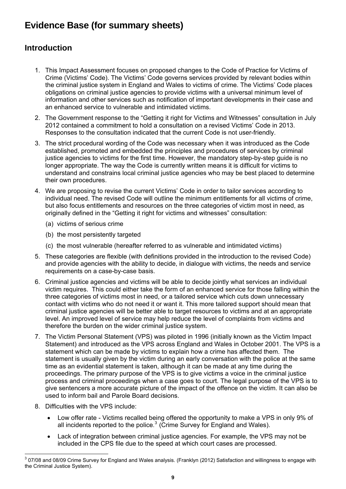### **Evidence Base (for summary sheets)**

### **Introduction**

- 1. This Impact Assessment focuses on proposed changes to the Code of Practice for Victims of Crime (Victims' Code). The Victims' Code governs services provided by relevant bodies within the criminal justice system in England and Wales to victims of crime. The Victims' Code places obligations on criminal justice agencies to provide victims with a universal minimum level of information and other services such as notification of important developments in their case and an enhanced service to vulnerable and intimidated victims.
- 2. The Government response to the "Getting it right for Victims and Witnesses" consultation in July 2012 contained a commitment to hold a consultation on a revised Victims' Code in 2013. Responses to the consultation indicated that the current Code is not user-friendly.
- 3. The strict procedural wording of the Code was necessary when it was introduced as the Code established, promoted and embedded the principles and procedures of services by criminal justice agencies to victims for the first time. However, the mandatory step-by-step quide is no longer appropriate. The way the Code is currently written means it is difficult for victims to understand and constrains local criminal justice agencies who may be best placed to determine their own procedures.
- 4. We are proposing to revise the current Victims' Code in order to tailor services according to individual need. The revised Code will outline the minimum entitlements for all victims of crime, but also focus entitlements and resources on the three categories of victim most in need, as originally defined in the "Getting it right for victims and witnesses" consultation:
	- (a) victims of serious crime
	- (b) the most persistently targeted
	- (c) the most vulnerable (hereafter referred to as vulnerable and intimidated victims)
- 5. These categories are flexible (with definitions provided in the introduction to the revised Code) and provide agencies with the ability to decide, in dialogue with victims, the needs and service requirements on a case-by-case basis.
- 6. Criminal justice agencies and victims will be able to decide jointly what services an individual victim requires. This could either take the form of an enhanced service for those falling within the three categories of victims most in need, or a tailored service which cuts down unnecessary contact with victims who do not need it or want it. This more tailored support should mean that criminal justice agencies will be better able to target resources to victims and at an appropriate level. An improved level of service may help reduce the level of complaints from victims and therefore the burden on the wider criminal justice system.
- 7. The Victim Personal Statement (VPS) was piloted in 1996 (initially known as the Victim Impact Statement) and introduced as the VPS across England and Wales in October 2001. The VPS is a statement which can be made by victims to explain how a crime has affected them. The statement is usually given by the victim during an early conversation with the police at the same time as an evidential statement is taken, although it can be made at any time during the proceedings. The primary purpose of the VPS is to give victims a voice in the criminal justice process and criminal proceedings when a case goes to court. The legal purpose of the VPS is to give sentencers a more accurate picture of the impact of the offence on the victim. It can also be used to inform bail and Parole Board decisions.
- 8. Difficulties with the VPS include:
	- Low offer rate Victims recalled being offered the opportunity to make a VPS in only 9% of all incidents reported to the police. $3$  (Crime Survey for England and Wales).
	- Lack of integration between criminal justice agencies. For example, the VPS may not be included in the CPS file due to the speed at which court cases are processed.

<span id="page-8-0"></span> 3 07/08 and 08/09 Crime Survey for England and Wales analysis. (Franklyn (2012) Satisfaction and willingness to engage with the Criminal Justice System).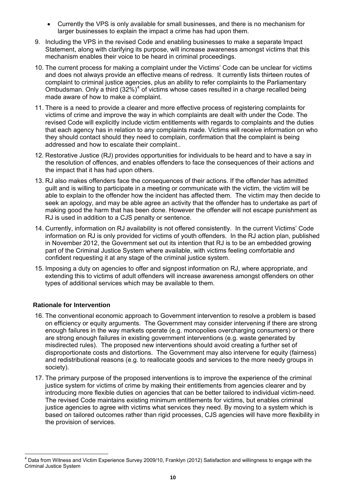- Currently the VPS is only available for small businesses, and there is no mechanism for larger businesses to explain the impact a crime has had upon them.
- 9. Including the VPS in the revised Code and enabling businesses to make a separate Impact Statement, along with clarifying its purpose, will increase awareness amongst victims that this mechanism enables their voice to be heard in criminal proceedings.
- 10. The current process for making a complaint under the Victims' Code can be unclear for victims and does not always provide an effective means of redress. It currently lists thirteen routes of complaint to criminal justice agencies, plus an ability to refer complaints to the Parliamentary Ombudsman. Only a third  $(32\%)^4$  $(32\%)^4$  of victims whose cases resulted in a charge recalled being made aware of how to make a complaint.
- 11. There is a need to provide a clearer and more effective process of registering complaints for victims of crime and improve the way in which complaints are dealt with under the Code. The revised Code will explicitly include victim entitlements with regards to complaints and the duties that each agency has in relation to any complaints made. Victims will receive information on who they should contact should they need to complain, confirmation that the complaint is being addressed and how to escalate their complaint..
- 12. Restorative Justice (RJ) provides opportunities for individuals to be heard and to have a say in the resolution of offences, and enables offenders to face the consequences of their actions and the impact that it has had upon others.
- 13. RJ also makes offenders face the consequences of their actions. If the offender has admitted guilt and is willing to participate in a meeting or communicate with the victim, the victim will be able to explain to the offender how the incident has affected them. The victim may then decide to seek an apology, and may be able agree an activity that the offender has to undertake as part of making good the harm that has been done. However the offender will not escape punishment as RJ is used in addition to a CJS penalty or sentence.
- 14. Currently, information on RJ availability is not offered consistently. In the current Victims' Code information on RJ is only provided for victims of youth offenders. In the RJ action plan, published in November 2012, the Government set out its intention that RJ is to be an embedded growing part of the Criminal Justice System where available, with victims feeling comfortable and confident requesting it at any stage of the criminal justice system.
- 15. Imposing a duty on agencies to offer and signpost information on RJ, where appropriate, and extending this to victims of adult offenders will increase awareness amongst offenders on other types of additional services which may be available to them.

#### **Rationale for Intervention**

- 16. The conventional economic approach to Government intervention to resolve a problem is based on efficiency or equity arguments. The Government may consider intervening if there are strong enough failures in the way markets operate (e.g. monopolies overcharging consumers) or there are strong enough failures in existing government interventions (e.g. waste generated by misdirected rules). The proposed new interventions should avoid creating a further set of disproportionate costs and distortions. The Government may also intervene for equity (fairness) and redistributional reasons (e.g. to reallocate goods and services to the more needy groups in society).
- 17. The primary purpose of the proposed interventions is to improve the experience of the criminal justice system for victims of crime by making their entitlements from agencies clearer and by introducing more flexible duties on agencies that can be better tailored to individual victim-need. The revised Code maintains existing minimum entitlements for victims, but enables criminal justice agencies to agree with victims what services they need. By moving to a system which is based on tailored outcomes rather than rigid processes, CJS agencies will have more flexibility in the provision of services.

<span id="page-9-0"></span> 4 Data from Witness and Victim Experience Survey 2009/10, Franklyn (2012) Satisfaction and willingness to engage with the Criminal Justice System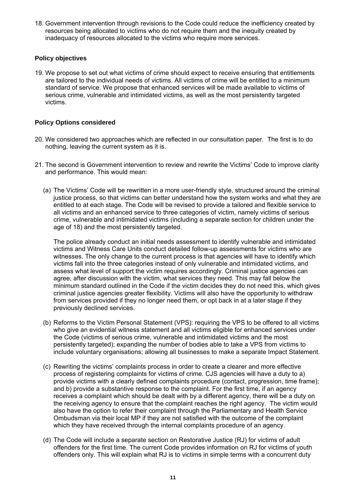18. Government intervention through revisions to the Code could reduce the inefficiency created by resources being allocated to victims who do not require them and the inequity created by inadequacy of resources allocated to the victims who require more services.

#### **Policy objectives**

19. We propose to set out what victims of crime should expect to receive ensuring that entitlements are tailored to the individual needs of victims. All victims of crime will be entitled to a minimum standard of service. We propose that enhanced services will be made available to victims of serious crime, vulnerable and intimidated victims, as well as the most persistently targeted victims.

#### **Policy Options considered**

- 20. We considered two approaches which are reflected in our consultation paper. The first is to do nothing, leaving the current system as it is.
- 21. The second is Government intervention to review and rewrite the Victims' Code to improve clarity and performance. This would mean:
	- (a) The Victims' Code will be rewritten in a more user-friendly style, structured around the criminal justice process, so that victims can better understand how the system works and what they are entitled to at each stage. The Code will be revised to provide a tailored and flexible service to all victims and an enhanced service to three categories of victim, namely victims of serious crime, vulnerable and intimidated victims (including a separate section for children under the age of 18) and the most persistently targeted.

The police already conduct an initial needs assessment to identify vulnerable and intimidated victims and Witness Care Units conduct detailed follow-up assessments for victims who are witnesses. The only change to the current process is that agencies will have to identify which victims fall into the three categories instead of only vulnerable and intimidated victims, and assess what level of support the victim requires accordingly. Criminal justice agencies can agree, after discussion with the victim, what services they need. This may fall below the minimum standard outlined in the Code if the victim decides they do not need this, which gives criminal justice agencies greater flexibility. Victims will also have the opportunity to withdraw from services provided if they no longer need them, or opt back in at a later stage if they previously declined services.

- (b) Reforms to the Victim Personal Statement (VPS): requiring the VPS to be offered to all victims who give an evidential witness statement and all victims eligible for enhanced services under the Code (victims of serious crime, vulnerable and intimidated victims and the most persistently targeted); expanding the number of bodies able to take a VPS from victims to include voluntary organisations; allowing all businesses to make a separate Impact Statement.
- (c) Rewriting the victims' complaints process in order to create a clearer and more effective process of registering complaints for victims of crime. CJS agencies will have a duty to a) provide victims with a clearly defined complaints procedure (contact, progression, time frame); and b) provide a substantive response to the complaint. For the first time, if an agency receives a complaint which should be dealt with by a different agency, there will be a duty on the receiving agency to ensure that the complaint reaches the right agency. The victim would also have the option to refer their complaint through the Parliamentary and Health Service Ombudsman via their local MP if they are not satisfied with the outcome of the complaint which they have received through the internal complaints procedure of an agency.
- (d) The Code will include a separate section on Restorative Justice (RJ) for victims of adult offenders for the first time. The current Code provides information on RJ for victims of youth offenders only. This will explain what RJ is to victims in simple terms with a concurrent duty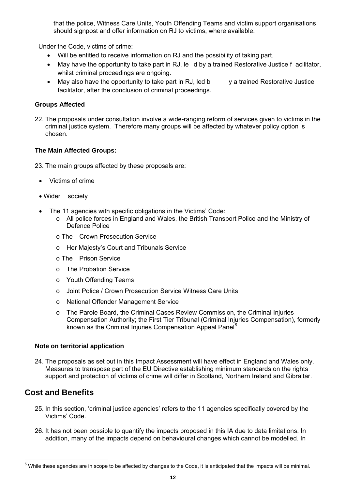that the police, Witness Care Units, Youth Offending Teams and victim support organisations should signpost and offer information on RJ to victims, where available.

Under the Code, victims of crime:

- Will be entitled to receive information on RJ and the possibility of taking part.
- May have the opportunity to take part in RJ, le d by a trained Restorative Justice f acilitator, whilst criminal proceedings are ongoing.
- May also have the opportunity to take part in RJ, led b y a trained Restorative Justice facilitator, after the conclusion of criminal proceedings.

#### **Groups Affected**

22. The proposals under consultation involve a wide-ranging reform of services given to victims in the criminal justice system. Therefore many groups will be affected by whatever policy option is chosen.

#### **The Main Affected Groups:**

- 23. The main groups affected by these proposals are:
	- Victims of crime
	- Wider society
	- The 11 agencies with specific obligations in the Victims' Code:
		- o All police forces in England and Wales, the British Transport Police and the Ministry of Defence Police
		- o The Crown Prosecution Service
		- o Her Majesty's Court and Tribunals Service
		- o The Prison Service
		- o The Probation Service
		- o Youth Offending Teams
		- o Joint Police / Crown Prosecution Service Witness Care Units
		- o National Offender Management Service
		- o The Parole Board, the Criminal Cases Review Commission, the Criminal Injuries Compensation Authority; the First Tier Tribunal (Criminal Injuries Compensation), formerly known as the Criminal Injuries Compensation Appeal Panel<sup>[5](#page-11-0)</sup>

#### **Note on territorial application**

24. The proposals as set out in this Impact Assessment will have effect in England and Wales only. Measures to transpose part of the EU Directive establishing minimum standards on the rights support and protection of victims of crime will differ in Scotland, Northern Ireland and Gibraltar.

### **Cost and Benefits**

- 25. In this section, 'criminal justice agencies' refers to the 11 agencies specifically covered by the Victims' Code.
- 26. It has not been possible to quantify the impacts proposed in this IA due to data limitations. In addition, many of the impacts depend on behavioural changes which cannot be modelled. In

<span id="page-11-0"></span> 5 While these agencies are in scope to be affected by changes to the Code, it is anticipated that the impacts will be minimal.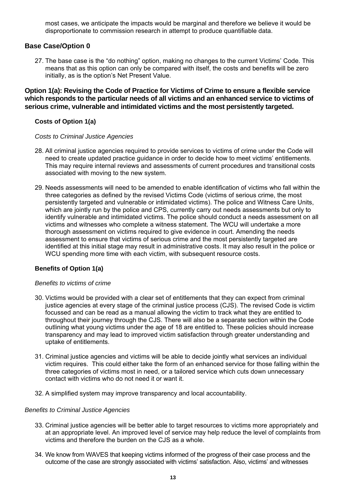most cases, we anticipate the impacts would be marginal and therefore we believe it would be disproportionate to commission research in attempt to produce quantifiable data.

#### **Base Case/Option 0**

27. The base case is the "do nothing" option, making no changes to the current Victims' Code. This means that as this option can only be compared with itself, the costs and benefits will be zero initially, as is the option's Net Present Value.

**Option 1(a): Revising the Code of Practice for Victims of Crime to ensure a flexible service which responds to the particular needs of all victims and an enhanced service to victims of serious crime, vulnerable and intimidated victims and the most persistently targeted.** 

#### **Costs of Option 1(a)**

#### *Costs to Criminal Justice Agencies*

- 28. All criminal justice agencies required to provide services to victims of crime under the Code will need to create updated practice guidance in order to decide how to meet victims' entitlements. This may require internal reviews and assessments of current procedures and transitional costs associated with moving to the new system.
- 29. Needs assessments will need to be amended to enable identification of victims who fall within the three categories as defined by the revised Victims Code (victims of serious crime, the most persistently targeted and vulnerable or intimidated victims). The police and Witness Care Units, which are jointly run by the police and CPS, currently carry out needs assessments but only to identify vulnerable and intimidated victims. The police should conduct a needs assessment on all victims and witnesses who complete a witness statement. The WCU will undertake a more thorough assessment on victims required to give evidence in court. Amending the needs assessment to ensure that victims of serious crime and the most persistently targeted are identified at this initial stage may result in administrative costs. It may also result in the police or WCU spending more time with each victim, with subsequent resource costs.

#### **Benefits of Option 1(a)**

#### *Benefits to victims of crime*

- 30. Victims would be provided with a clear set of entitlements that they can expect from criminal justice agencies at every stage of the criminal justice process (CJS). The revised Code is victim focussed and can be read as a manual allowing the victim to track what they are entitled to throughout their journey through the CJS. There will also be a separate section within the Code outlining what young victims under the age of 18 are entitled to. These policies should increase transparency and may lead to improved victim satisfaction through greater understanding and uptake of entitlements.
- 31. Criminal justice agencies and victims will be able to decide jointly what services an individual victim requires. This could either take the form of an enhanced service for those falling within the three categories of victims most in need, or a tailored service which cuts down unnecessary contact with victims who do not need it or want it.
- 32. A simplified system may improve transparency and local accountability.

#### *Benefits to Criminal Justice Agencies*

- 33. Criminal justice agencies will be better able to target resources to victims more appropriately and at an appropriate level. An improved level of service may help reduce the level of complaints from victims and therefore the burden on the CJS as a whole.
- 34. We know from WAVES that keeping victims informed of the progress of their case process and the outcome of the case are strongly associated with victims' satisfaction. Also, victims' and witnesses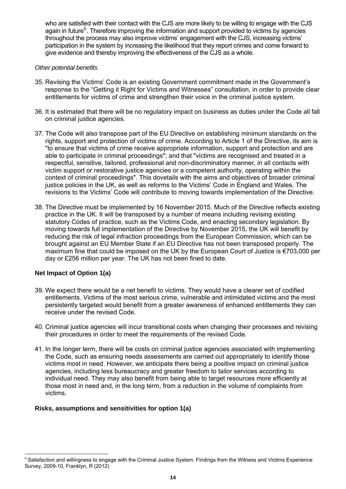who are satisfied with their contact with the CJS are more likely to be willing to engage with the CJS again in future<sup>6</sup>. Therefore improving the information and support provided to victims by agencies throughout the process may also improve victims' engagement with the CJS, increasing victims' participation in the system by increasing the likelihood that they report crimes and come forward to give evidence and thereby improving the effectiveness of the CJS as a whole.

#### *Other potential benefits*

- 35. Revising the Victims' Code is an existing Government commitment made in the Government's response to the "Getting it Right for Victims and Witnesses" consultation, in order to provide clear entitlements for victims of crime and strengthen their voice in the criminal justice system.
- 36. It is estimated that there will be no regulatory impact on business as duties under the Code all fall on criminal justice agencies.
- 37. The Code will also transpose part of the EU Directive on establishing minimum standards on the rights, support and protection of victims of crime. According to Article 1 of the Directive, its aim is "to ensure that victims of crime receive appropriate information, support and protection and are able to participate in criminal proceedings"; and that "victims are recognised and treated in a respectful, sensitive, tailored, professional and non-discriminatory manner, in all contacts with victim support or restorative justice agencies or a competent authority, operating within the context of criminal proceedings". This dovetails with the aims and objectives of broader criminal justice policies in the UK, as well as reforms to the Victims' Code in England and Wales. The revisions to the Victims' Code will contribute to moving towards implementation of the Directive.
- 38. The Directive must be implemented by 16 November 2015. Much of the Directive reflects existing practice in the UK. It will be transposed by a number of means including revising existing statutory Codes of practice, such as the Victims Code, and enacting secondary legislation. By moving towards full implementation of the Directive by November 2015, the UK will benefit by reducing the risk of legal infraction proceedings from the European Commission, which can be brought against an EU Member State if an EU Directive has not been transposed properly. The maximum fine that could be imposed on the UK by the European Court of Justice is €703,000 per day or £256 million per year. The UK has not been fined to date.

#### **Net Impact of Option 1(a)**

- 39. We expect there would be a net benefit to victims. They would have a clearer set of codified entitlements. Victims of the most serious crime, vulnerable and intimidated victims and the most persistently targeted would benefit from a greater awareness of enhanced entitlements they can receive under the revised Code.
- 40. Criminal justice agencies will incur transitional costs when changing their processes and revising their procedures in order to meet the requirements of the revised Code.
- 41. In the longer term, there will be costs on criminal justice agencies associated with implementing the Code, such as ensuring needs assessments are carried out appropriately to identify those victims most in need. However, we anticipate there being a positive impact on criminal justice agencies, including less bureaucracy and greater freedom to tailor services according to individual need. They may also benefit from being able to target resources more efficiently at those most in need and, in the long term, from a reduction in the volume of complaints from victims.

#### **Risks, assumptions and sensitivities for option 1(a)**

 $\overline{a}$ <sup>6</sup> Satisfaction and willingness to engage with the Criminal Justice System. Findings from the Witness and Victims Experience Survey, 2009-10, Franklyn, R (2012)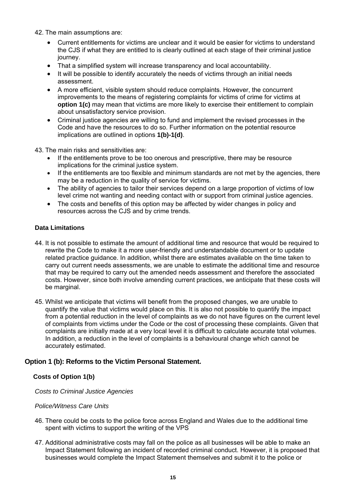42. The main assumptions are:

- Current entitlements for victims are unclear and it would be easier for victims to understand the CJS if what they are entitled to is clearly outlined at each stage of their criminal justice journey.
- That a simplified system will increase transparency and local accountability.
- It will be possible to identify accurately the needs of victims through an initial needs assessment.
- A more efficient, visible system should reduce complaints. However, the concurrent improvements to the means of registering complaints for victims of crime for victims at **option 1(c)** may mean that victims are more likely to exercise their entitlement to complain about unsatisfactory service provision.
- Criminal justice agencies are willing to fund and implement the revised processes in the Code and have the resources to do so. Further information on the potential resource implications are outlined in options **1(b)-1(d)**.

43. The main risks and sensitivities are:

- If the entitlements prove to be too onerous and prescriptive, there may be resource implications for the criminal justice system.
- If the entitlements are too flexible and minimum standards are not met by the agencies, there may be a reduction in the quality of service for victims.
- The ability of agencies to tailor their services depend on a large proportion of victims of low level crime not wanting and needing contact with or support from criminal justice agencies.
- The costs and benefits of this option may be affected by wider changes in policy and resources across the CJS and by crime trends.

#### **Data Limitations**

- 44. It is not possible to estimate the amount of additional time and resource that would be required to rewrite the Code to make it a more user-friendly and understandable document or to update related practice guidance. In addition, whilst there are estimates available on the time taken to carry out current needs assessments, we are unable to estimate the additional time and resource that may be required to carry out the amended needs assessment and therefore the associated costs. However, since both involve amending current practices, we anticipate that these costs will be marginal.
- 45. Whilst we anticipate that victims will benefit from the proposed changes, we are unable to quantify the value that victims would place on this. It is also not possible to quantify the impact from a potential reduction in the level of complaints as we do not have figures on the current level of complaints from victims under the Code or the cost of processing these complaints. Given that complaints are initially made at a very local level it is difficult to calculate accurate total volumes. In addition, a reduction in the level of complaints is a behavioural change which cannot be accurately estimated.

#### **Option 1 (b): Reforms to the Victim Personal Statement.**

#### **Costs of Option 1(b)**

*Costs to Criminal Justice Agencies* 

*Police/Witness Care Units* 

- 46. There could be costs to the police force across England and Wales due to the additional time spent with victims to support the writing of the VPS
- 47. Additional administrative costs may fall on the police as all businesses will be able to make an Impact Statement following an incident of recorded criminal conduct. However, it is proposed that businesses would complete the Impact Statement themselves and submit it to the police or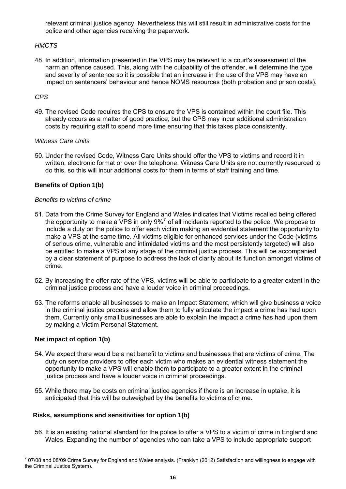relevant criminal justice agency. Nevertheless this will still result in administrative costs for the police and other agencies receiving the paperwork.

#### *HMCTS*

48. In addition, information presented in the VPS may be relevant to a court's assessment of the harm an offence caused. This, along with the culpability of the offender, will determine the type and severity of sentence so it is possible that an increase in the use of the VPS may have an impact on sentencers' behaviour and hence NOMS resources (both probation and prison costs).

#### *CPS*

49. The revised Code requires the CPS to ensure the VPS is contained within the court file. This already occurs as a matter of good practice, but the CPS may incur additional administration costs by requiring staff to spend more time ensuring that this takes place consistently.

#### *Witness Care Units*

50. Under the revised Code, Witness Care Units should offer the VPS to victims and record it in written, electronic format or over the telephone. Witness Care Units are not currently resourced to do this, so this will incur additional costs for them in terms of staff training and time.

#### **Benefits of Option 1(b)**

#### *Benefits to victims of crime*

- 51. Data from the Crime Survey for England and Wales indicates that Victims recalled being offered the opportunity to make a VPS in only  $9\%$ <sup>[7](#page-15-0)</sup> of all incidents reported to the police. We propose to include a duty on the police to offer each victim making an evidential statement the opportunity to make a VPS at the same time. All victims eligible for enhanced services under the Code (victims of serious crime, vulnerable and intimidated victims and the most persistently targeted) will also be entitled to make a VPS at any stage of the criminal justice process. This will be accompanied by a clear statement of purpose to address the lack of clarity about its function amongst victims of crime.
- 52. By increasing the offer rate of the VPS, victims will be able to participate to a greater extent in the criminal justice process and have a louder voice in criminal proceedings.
- 53. The reforms enable all businesses to make an Impact Statement, which will give business a voice in the criminal justice process and allow them to fully articulate the impact a crime has had upon them. Currently only small businesses are able to explain the impact a crime has had upon them by making a Victim Personal Statement.

#### **Net impact of option 1(b)**

- 54. We expect there would be a net benefit to victims and businesses that are victims of crime. The duty on service providers to offer each victim who makes an evidential witness statement the opportunity to make a VPS will enable them to participate to a greater extent in the criminal justice process and have a louder voice in criminal proceedings.
- 55. While there may be costs on criminal justice agencies if there is an increase in uptake, it is anticipated that this will be outweighed by the benefits to victims of crime.

#### **Risks, assumptions and sensitivities for option 1(b)**

56. It is an existing national standard for the police to offer a VPS to a victim of crime in England and Wales. Expanding the number of agencies who can take a VPS to include appropriate support

<span id="page-15-0"></span> 7 07/08 and 08/09 Crime Survey for England and Wales analysis. (Franklyn (2012) Satisfaction and willingness to engage with the Criminal Justice System).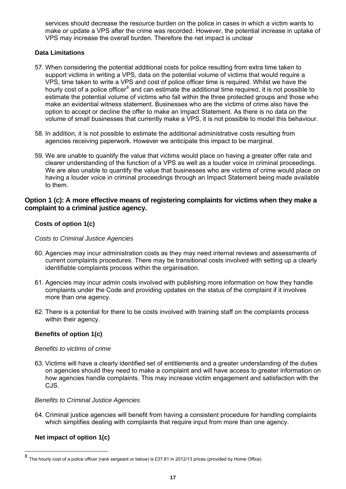services should decrease the resource burden on the police in cases in which a victim wants to make or update a VPS after the crime was recorded. However, the potential increase in uptake of VPS may increase the overall burden. Therefore the net impact is unclear

#### **Data Limitations**

- 57. When considering the potential additional costs for police resulting from extra time taken to support victims in writing a VPS, data on the potential volume of victims that would require a VPS, time taken to write a VPS and cost of police officer time is required. Whilst we have the hourly cost of a police officer<sup>[8](#page-16-0)</sup> and can estimate the additional time required, it is not possible to estimate the potential volume of victims who fall within the three protected groups and those who make an evidential witness statement. Businesses who are the victims of crime also have the option to accept or decline the offer to make an Impact Statement. As there is no data on the volume of small businesses that currently make a VPS, it is not possible to model this behaviour.
- 58. In addition, it is not possible to estimate the additional administrative costs resulting from agencies receiving paperwork. However we anticipate this impact to be marginal.
- 59. We are unable to quantify the value that victims would place on having a greater offer rate and clearer understanding of the function of a VPS as well as a louder voice in criminal proceedings. We are also unable to quantify the value that businesses who are victims of crime would place on having a louder voice in criminal proceedings through an Impact Statement being made available to them.

#### **Option 1 (c): A more effective means of registering complaints for victims when they make a complaint to a criminal justice agency.**

#### **Costs of option 1(c)**

#### *Costs to Criminal Justice Agencies*

- 60. Agencies may incur administration costs as they may need internal reviews and assessments of current complaints procedures. There may be transitional costs involved with setting up a clearly identifiable complaints process within the organisation.
- 61. Agencies may incur admin costs involved with publishing more information on how they handle complaints under the Code and providing updates on the status of the complaint if it involves more than one agency.
- 62. There is a potential for there to be costs involved with training staff on the complaints process within their agency.

#### **Benefits of option 1(c)**

#### *Benefits to victims of crime*

63. Victims will have a clearly identified set of entitlements and a greater understanding of the duties on agencies should they need to make a complaint and will have access to greater information on how agencies handle complaints. This may increase victim engagement and satisfaction with the CJS.

#### *Benefits to Criminal Justice Agencies*

64. Criminal justice agencies will benefit from having a consistent procedure for handling complaints which simplifies dealing with complaints that require input from more than one agency.

#### **Net impact of option 1(c)**

<span id="page-16-0"></span><sup>8</sup> The hourly cost of a police officer (rank sergeant or below) is £37.81 in 2012/13 prices (provided by Home Office)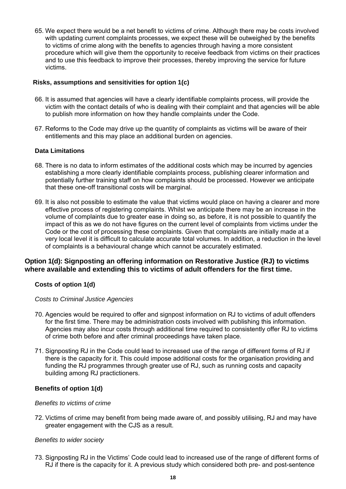65. We expect there would be a net benefit to victims of crime. Although there may be costs involved with updating current complaints processes, we expect these will be outweighed by the benefits to victims of crime along with the benefits to agencies through having a more consistent procedure which will give them the opportunity to receive feedback from victims on their practices and to use this feedback to improve their processes, thereby improving the service for future victims.

#### **Risks, assumptions and sensitivities for option 1(c)**

- 66. It is assumed that agencies will have a clearly identifiable complaints process, will provide the victim with the contact details of who is dealing with their complaint and that agencies will be able to publish more information on how they handle complaints under the Code.
- 67. Reforms to the Code may drive up the quantity of complaints as victims will be aware of their entitlements and this may place an additional burden on agencies.

#### **Data Limitations**

- 68. There is no data to inform estimates of the additional costs which may be incurred by agencies establishing a more clearly identifiable complaints process, publishing clearer information and potentially further training staff on how complaints should be processed. However we anticipate that these one-off transitional costs will be marginal.
- 69. It is also not possible to estimate the value that victims would place on having a clearer and more effective process of registering complaints. Whilst we anticipate there may be an increase in the volume of complaints due to greater ease in doing so, as before, it is not possible to quantify the impact of this as we do not have figures on the current level of complaints from victims under the Code or the cost of processing these complaints. Given that complaints are initially made at a very local level it is difficult to calculate accurate total volumes. In addition, a reduction in the level of complaints is a behavioural change which cannot be accurately estimated.

#### **Option 1(d): Signposting an offering information on Restorative Justice (RJ) to victims where available and extending this to victims of adult offenders for the first time.**

#### **Costs of option 1(d)**

*Costs to Criminal Justice Agencies*

- 70. Agencies would be required to offer and signpost information on RJ to victims of adult offenders for the first time. There may be administration costs involved with publishing this information. Agencies may also incur costs through additional time required to consistently offer RJ to victims of crime both before and after criminal proceedings have taken place.
- 71. Signposting RJ in the Code could lead to increased use of the range of different forms of RJ if there is the capacity for it. This could impose additional costs for the organisation providing and funding the RJ programmes through greater use of RJ, such as running costs and capacity building among RJ practictioners.

#### **Benefits of option 1(d)**

#### *Benefits to victims of crime*

72. Victims of crime may benefit from being made aware of, and possibly utilising, RJ and may have greater engagement with the CJS as a result.

#### *Benefits to wider society*

73. Signposting RJ in the Victims' Code could lead to increased use of the range of different forms of RJ if there is the capacity for it. A previous study which considered both pre- and post-sentence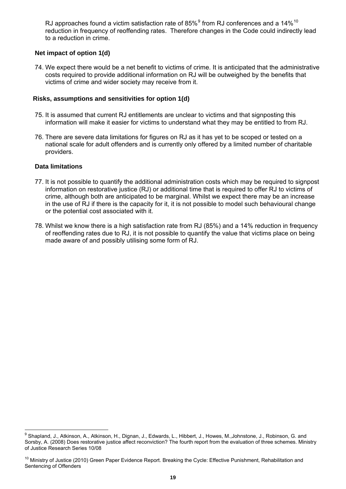RJ approaches found a victim satisfaction rate of 85% $^9$  from RJ conferences and a 14% $^{10}$ reduction in frequency of reoffending rates. Therefore changes in the Code could indirectly lead to a reduction in crime.

#### **Net impact of option 1(d)**

74. We expect there would be a net benefit to victims of crime. It is anticipated that the administrative costs required to provide additional information on RJ will be outweighed by the benefits that victims of crime and wider society may receive from it.

#### **Risks, assumptions and sensitivities for option 1(d)**

- 75. It is assumed that current RJ entitlements are unclear to victims and that signposting this information will make it easier for victims to understand what they may be entitled to from RJ.
- 76. There are severe data limitations for figures on RJ as it has yet to be scoped or tested on a national scale for adult offenders and is currently only offered by a limited number of charitable providers.

#### **Data limitations**

- 77. It is not possible to quantify the additional administration costs which may be required to signpost information on restorative justice (RJ) or additional time that is required to offer RJ to victims of crime, although both are anticipated to be marginal. Whilst we expect there may be an increase in the use of RJ if there is the capacity for it, it is not possible to model such behavioural change or the potential cost associated with it.
- 78. Whilst we know there is a high satisfaction rate from RJ (85%) and a 14% reduction in frequency of reoffending rates due to RJ, it is not possible to quantify the value that victims place on being made aware of and possibly utilising some form of RJ.

<sup>&</sup>lt;u>。</u><br><sup>9</sup> Shapland, J., Atkinson, A., Atkinson, H., Dignan, J., Edwards, L., Hibbert, J., Howes, M.,Johnstone, J., Robinson, G. and Sorsby, A. (2008) Does restorative justice affect reconviction? The fourth report from the evaluation of three schemes. Ministry of Justice Research Series 10/08

<sup>&</sup>lt;sup>10</sup> Ministry of Justice (2010) Green Paper Evidence Report. Breaking the Cycle: Effective Punishment, Rehabilitation and Sentencing of Offenders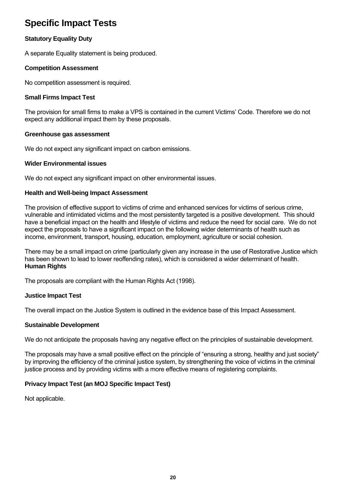### **Specific Impact Tests**

#### **Statutory Equality Duty**

A separate Equality statement is being produced.

#### **Competition Assessment**

No competition assessment is required.

#### **Small Firms Impact Test**

The provision for small firms to make a VPS is contained in the current Victims' Code. Therefore we do not expect any additional impact them by these proposals.

#### **Greenhouse gas assessment**

We do not expect any significant impact on carbon emissions.

#### **Wider Environmental issues**

We do not expect any significant impact on other environmental issues.

#### **Health and Well-being Impact Assessment**

The provision of effective support to victims of crime and enhanced services for victims of serious crime, vulnerable and intimidated victims and the most persistently targeted is a positive development. This should have a beneficial impact on the health and lifestyle of victims and reduce the need for social care. We do not expect the proposals to have a significant impact on the following wider determinants of health such as income, environment, transport, housing, education, employment, agriculture or social cohesion.

There may be a small impact on crime (particularly given any increase in the use of Restorative Justice which has been shown to lead to lower reoffending rates), which is considered a wider determinant of health. **Human Rights** 

The proposals are compliant with the Human Rights Act (1998).

#### **Justice Impact Test**

The overall impact on the Justice System is outlined in the evidence base of this Impact Assessment.

#### **Sustainable Development**

We do not anticipate the proposals having any negative effect on the principles of sustainable development.

The proposals may have a small positive effect on the principle of "ensuring a strong, healthy and just society" by improving the efficiency of the criminal justice system, by strengthening the voice of victims in the criminal justice process and by providing victims with a more effective means of registering complaints.

#### **Privacy Impact Test (an MOJ Specific Impact Test)**

Not applicable.